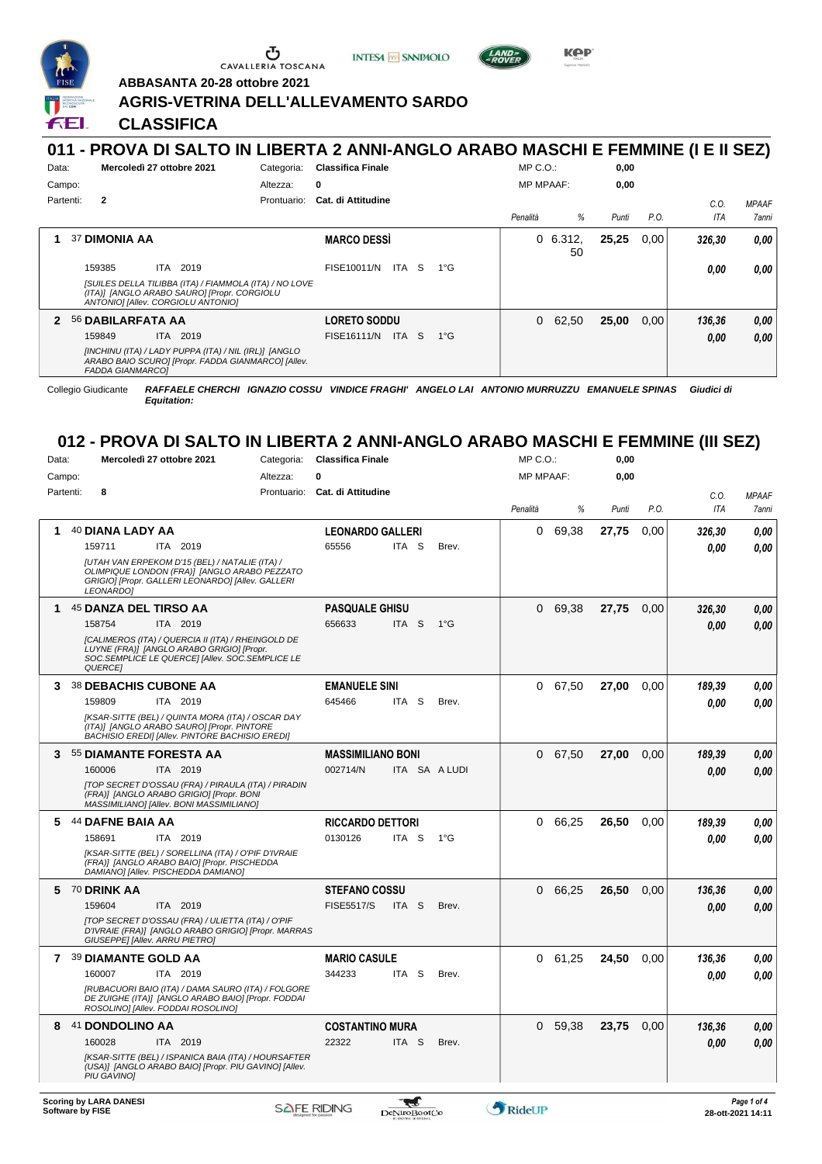

Ⴠ CAVALLERIA TOSCANA

**INTESA M** SANPAOLO





**ABBASANTA 20-28 ottobre 2021**

#### **AGRIS-VETRINA DELL'ALLEVAMENTO SARDO**

**CLASSIFICA**

#### **011 - PROVA DI SALTO IN LIBERTA 2 ANNI-ANGLO ARABO MASCHI E FEMMINE (I E II SEZ)** Data: **Mercoledì 27 ottobre 2021** Categoria: Classifica Finale Prontuario: **Cat. di Attitudine** Campo: Partenti: **2** Altezza: **0** MP C.O.: MP MPAAF: **0,00 0,00** *Penalità % Punti P.O. C.O. ITA MPAAF 7anni*

| 37 DIMONIA AA                                                                                                                               | <b>MARCO DESSI</b>                | 0, 6.312,<br>50 | 25,25 | 0.00 | 326.30 | 0,00 |
|---------------------------------------------------------------------------------------------------------------------------------------------|-----------------------------------|-----------------|-------|------|--------|------|
| ITA 2019<br>159385                                                                                                                          | FISE10011/N ITA S<br>1°G          |                 |       |      | 0.00   | 0,00 |
| [SUILES DELLA TILIBBA (ITA) / FIAMMOLA (ITA) / NO LOVE<br>(ITA)] [ANGLO ARABO SAURO] [Propr. CORGIOLU<br>ANTONIO] [Allev. CORGIOLU ANTONIO] |                                   |                 |       |      |        |      |
| 2 56 DABILARFATA AA                                                                                                                         | <b>LORETO SODDU</b>               | $0\quad 62.50$  | 25,00 | 0.00 | 136.36 | 0,00 |
| <b>ITA 2019</b><br>159849                                                                                                                   | FISE16111/N ITA S<br>$1^{\circ}G$ |                 |       |      | 0.00   | 0,00 |
| [INCHINU (ITA) / LADY PUPPA (ITA) / NIL (IRL)] [ANGLO<br>ARABO BAIO SCURO] [Propr. FADDA GIANMARCO] [Allev.<br><b>FADDA GIANMARCOL</b>      |                                   |                 |       |      |        |      |

Collegio Giudicante *RAFFAELE CHERCHI IGNAZIO COSSU VINDICE FRAGHI' ANGELO LAI ANTONIO MURRUZZU EMANUELE SPINAS Giudici di Equitation:*

# **012 - PROVA DI SALTO IN LIBERTA 2 ANNI-ANGLO ARABO MASCHI E FEMMINE (III SEZ)**

| Data:       | Mercoledì 27 ottobre 2021                                                                                                                                              | Categoria:  |                           |                          | <b>Classifica Finale</b> |          |         | 0,00  |      |            |              |
|-------------|------------------------------------------------------------------------------------------------------------------------------------------------------------------------|-------------|---------------------------|--------------------------|--------------------------|----------|---------|-------|------|------------|--------------|
| Campo:      |                                                                                                                                                                        | 0           |                           |                          | <b>MP MPAAF:</b>         |          | 0,00    |       |      |            |              |
| Partenti:   | 8                                                                                                                                                                      | Prontuario: | <b>Cat. di Attitudine</b> |                          |                          |          |         |       |      | C.O.       | <b>MPAAF</b> |
|             |                                                                                                                                                                        |             |                           |                          |                          | Penalità | %       | Punti | P.O. | <b>ITA</b> | 7anni        |
| 1           | 40 DIANA LADY AA                                                                                                                                                       |             | <b>LEONARDO GALLERI</b>   |                          |                          | 0        | 69,38   | 27,75 | 0,00 | 326,30     | 0.00         |
|             | 159711<br>ITA 2019                                                                                                                                                     |             | 65556                     | ITA <sub>S</sub>         | Brev.                    |          |         |       |      | 0.00       | 0.00         |
|             | [UTAH VAN ERPEKOM D'15 (BEL) / NATALIE (ITA) /<br>OLIMPIQUE LONDON (FRA)] [ANGLO ARABO PEZZATO<br>GRIGIO] [Propr. GALLERI LEONARDO] [Allev. GALLERI<br>LEONARDO]       |             |                           |                          |                          |          |         |       |      |            |              |
| $\mathbf 1$ | 45 DANZA DEL TIRSO AA                                                                                                                                                  |             | <b>PASQUALE GHISU</b>     |                          |                          | 0        | 69,38   | 27,75 | 0,00 | 326,30     | 0.00         |
|             | 158754<br>ITA 2019                                                                                                                                                     |             | 656633                    | ITA <sub>S</sub>         | $1^{\circ}G$             |          |         |       |      | 0.00       | 0.00         |
|             | [CALIMEROS (ITA) / QUERCIA II (ITA) / RHEINGOLD DE<br>LUYNE (FRA)] [ANGLO ARABO GRIGIO] [Propr.<br>SOC. SEMPLICE LE QUERCE] [Allev. SOC. SEMPLICE LE<br><b>QUERCEI</b> |             |                           |                          |                          |          |         |       |      |            |              |
| 3.          | <b>38 DEBACHIS CUBONE AA</b>                                                                                                                                           |             | <b>EMANUELE SINI</b>      |                          |                          | 0        | 67,50   | 27,00 | 0.00 | 189,39     | 0.00         |
|             | ITA 2019<br>159809                                                                                                                                                     |             | 645466                    | ITA <sub>S</sub>         | Brev.                    |          |         |       |      | 0.00       | 0.00         |
|             | [KSAR-SITTE (BEL) / QUINTA MORA (ITA) / OSCAR DAY<br>(ITA)] [ANGLO ARABO SAURO] [Propr. PINTORE<br><b>BACHISIO EREDII [Allev. PINTORE BACHISIO EREDI]</b>              |             |                           |                          |                          |          |         |       |      |            |              |
| 3           | 55 DIAMANTE FORESTA AA                                                                                                                                                 |             |                           | <b>MASSIMILIANO BONI</b> |                          |          | 67,50   | 27,00 | 0,00 | 189,39     | 0.00         |
|             | 160006<br>ITA 2019                                                                                                                                                     |             | 002714/N                  | ITA SA A LUDI            |                          |          |         |       |      | 0.00       | 0.00         |
|             | [TOP SECRET D'OSSAU (FRA) / PIRAULA (ITA) / PIRADIN<br>(FRA)] [ANGLO ARABO GRIGIO] [Propr. BONI<br>MASSIMILIANO] [Allev. BONI MASSIMILIANO]                            |             |                           |                          |                          |          |         |       |      |            |              |
| 5           | <b>44 DAFNE BAIA AA</b>                                                                                                                                                |             | <b>RICCARDO DETTORI</b>   |                          |                          | 0        | 66,25   | 26,50 | 0.00 | 189,39     | 0.00         |
|             | ITA 2019<br>158691                                                                                                                                                     |             | 0130126                   | ITA S                    | $1^{\circ}G$             |          |         |       |      | 0.00       | 0.00         |
|             | [KSAR-SITTE (BEL) / SORELLINA (ITA) / O'PIF D'IVRAIE<br>(FRA)] [ANGLO ARABO BAIO] [Propr. PISCHEDDA<br>DAMIANO] [Allev. PISCHEDDA DAMIANO]                             |             |                           |                          |                          |          |         |       |      |            |              |
| 5           | 70 DRINK AA                                                                                                                                                            |             | <b>STEFANO COSSU</b>      |                          |                          | 0        | 66,25   | 26,50 | 0,00 | 136,36     | 0.00         |
|             | ITA 2019<br>159604                                                                                                                                                     |             | <b>FISE5517/S</b>         | ITA <sub>S</sub>         | Brev.                    |          |         |       |      | 0.00       | 0.00         |
|             | [TOP SECRET D'OSSAU (FRA) / ULIETTA (ITA) / O'PIF<br>D'IVRAIE (FRA)] [ANGLO ARABO GRIGIO] [Propr. MARRAS<br>GIUSEPPEI [Allev. ARRU PIETRO]                             |             |                           |                          |                          |          |         |       |      |            |              |
|             | 7 39 DIAMANTE GOLD AA                                                                                                                                                  |             | <b>MARIO CASULE</b>       |                          |                          |          | 0 61,25 | 24,50 | 0.00 | 136,36     | 0.00         |
|             | 160007<br>ITA 2019                                                                                                                                                     |             | 344233                    | ITA S                    | Brev.                    |          |         |       |      | 0.00       | 0.00         |
|             | [RUBACUORI BAIO (ITA) / DAMA SAURO (ITA) / FOLGORE<br>DE ZUIGHE (ITA)] [ANGLO ARABO BAIO] [Propr. FODDAI<br>ROSOLINO] [Allev. FODDAI ROSOLINO]                         |             |                           |                          |                          |          |         |       |      |            |              |
| 8           | <b>DONDOLINO AA</b><br>41                                                                                                                                              |             | <b>COSTANTINO MURA</b>    |                          |                          | 0        | 59,38   | 23,75 | 0,00 | 136,36     | 0.00         |
|             | 160028<br>ITA 2019                                                                                                                                                     |             | 22322                     | ITA S                    | Brev.                    |          |         |       |      | 0.00       | 0.00         |
|             | [KSAR-SITTE (BEL) / ISPANICA BAIA (ITA) / HOURSAFTER<br>(USA)] [ANGLO ARABO BAIO] [Propr. PIU GAVINO] [Allev.<br><b>PIU GAVINO1</b>                                    |             |                           |                          |                          |          |         |       |      |            |              |
|             |                                                                                                                                                                        |             |                           |                          |                          |          |         |       |      |            |              |

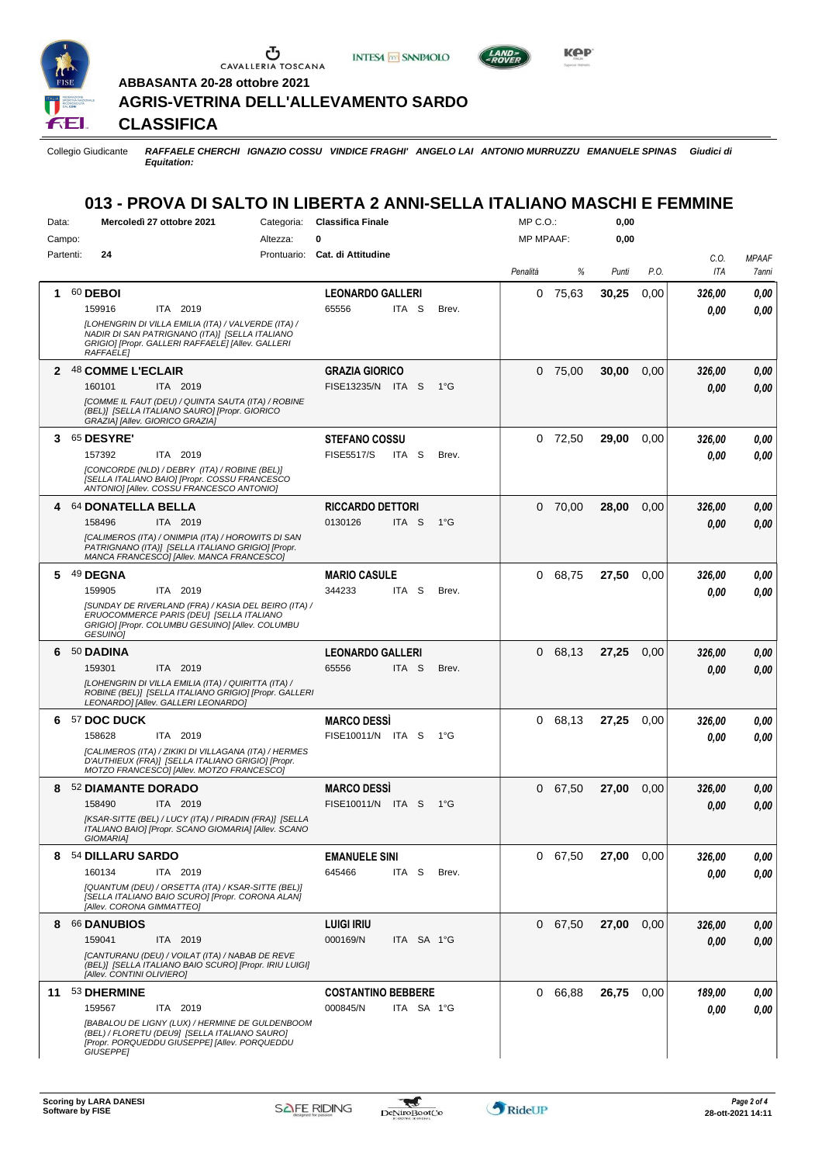

 $\sigma$  cavalleria toscana

**INTESA** M SANPAOLO



**Kep** 

**ABBASANTA 20-28 ottobre 2021**

### **AGRIS-VETRINA DELL'ALLEVAMENTO SARDO**

**CLASSIFICA**

Collegio Giudicante *RAFFAELE CHERCHI IGNAZIO COSSU VINDICE FRAGHI' ANGELO LAI ANTONIO MURRUZZU EMANUELE SPINAS Giudici di Equitation:*

## **013 - PROVA DI SALTO IN LIBERTA 2 ANNI-SELLA ITALIANO MASCHI E FEMMINE**

| Data:     | Mercoledì 27 ottobre 2021<br>Categoria:                                                                                                                                        | <b>Classifica Finale</b>       |                  |               | MP C. O. |           | 0,00  |      |        |                     |
|-----------|--------------------------------------------------------------------------------------------------------------------------------------------------------------------------------|--------------------------------|------------------|---------------|----------|-----------|-------|------|--------|---------------------|
| Campo:    | 0<br>Altezza:                                                                                                                                                                  |                                | <b>MP MPAAF:</b> |               | 0,00     |           |       |      |        |                     |
| Partenti: | 24                                                                                                                                                                             | Prontuario: Cat. di Attitudine |                  |               |          |           |       |      | C.O.   | <b>MPAAF</b>        |
|           |                                                                                                                                                                                |                                |                  |               | Penalità | %         | Punti | P.O. | ITA    | <i><b>7anni</b></i> |
|           |                                                                                                                                                                                |                                |                  |               |          |           |       |      |        |                     |
| 1.        | 60 DEBOI                                                                                                                                                                       | <b>LEONARDO GALLERI</b>        |                  |               |          | $0$ 75,63 | 30,25 | 0,00 | 326,00 | 0,00                |
|           | ITA 2019<br>159916                                                                                                                                                             | 65556<br>ITA S                 |                  | Brev.         |          |           |       |      | 0.00   | 0.00                |
|           | [LOHENGRIN DI VILLA EMILIA (ITA) / VALVERDE (ITA) /<br>NADIR DI SAN PATRIGNANO (ITA)] [SELLA ITALIANO<br>GRIGIO] [Propr. GALLERI RAFFAELE] [Allev. GALLERI<br><b>RAFFAELE1</b> |                                |                  |               |          |           |       |      |        |                     |
| 2         | <b>48 COMME L'ECLAIR</b>                                                                                                                                                       | <b>GRAZIA GIORICO</b>          |                  |               | 0        | 75.00     | 30,00 | 0,00 | 326,00 | 0,00                |
|           | 160101<br>ITA 2019                                                                                                                                                             | FISE13235/N ITA S              |                  | $1^{\circ}$ G |          |           |       |      | 0.00   | 0,00                |
|           | [COMME IL FAUT (DEU) / QUINTA SAUTA (ITA) / ROBINE                                                                                                                             |                                |                  |               |          |           |       |      |        |                     |
|           | (BEL)] ISELLA ITALIANO SAURO] [Propr. GIORICO<br>GRAZIA] [Allev. GIORICO GRAZIA]                                                                                               |                                |                  |               |          |           |       |      |        |                     |
| 3         | <b>65 DESYRE'</b>                                                                                                                                                              | <b>STEFANO COSSU</b>           |                  |               | 0        | 72,50     | 29,00 | 0.00 | 326,00 | 0,00                |
|           | 157392<br>ITA 2019                                                                                                                                                             | <b>FISE5517/S</b><br>ITA S     |                  | Brev.         |          |           |       |      | 0.00   | 0.00                |
|           | [CONCORDE (NLD) / DEBRY (ITA) / ROBINE (BEL)]<br>[SELLA ITALIANO BAIO] [Propr. COSSU FRANCESCO<br>ANTONIO] [Allev. COSSU FRANCESCO ANTONIO]                                    |                                |                  |               |          |           |       |      |        |                     |
| 4         | 64 DONATELLA BELLA                                                                                                                                                             | <b>RICCARDO DETTORI</b>        |                  |               | $\Omega$ | 70,00     | 28,00 | 0,00 | 326,00 | 0,00                |
|           | 158496<br>ITA 2019                                                                                                                                                             | 0130126<br>ITA S               |                  | $1^{\circ}G$  |          |           |       |      | 0.00   | 0.00                |
|           | [CALIMEROS (ITA) / ONIMPIA (ITA) / HOROWITS DI SAN<br>PATRIGNANO (ITA)] [SELLA ITALIANO GRIGIO] [Propr.<br>MANCA FRANCESCO] [Allev. MANCA FRANCESCO]                           |                                |                  |               |          |           |       |      |        |                     |
| 5.        | 49 DEGNA                                                                                                                                                                       | <b>MARIO CASULE</b>            |                  |               | 0        | 68,75     | 27,50 | 0.00 | 326,00 | 0,00                |
|           | 159905<br>ITA 2019                                                                                                                                                             | 344233<br>ITA S                |                  | Brev.         |          |           |       |      | 0,00   | 0.00                |
|           | ISUNDAY DE RIVERLAND (FRA) / KASIA DEL BEIRO (ITA) /<br>ERUOCOMMERCE PARIS (DEU) [SELLA ITALIANO<br>GRIGIO] [Propr. COLUMBU GESUINO] [Allev. COLUMBU<br>GESUINO]               |                                |                  |               |          |           |       |      |        |                     |
| 6         | 50 DADINA                                                                                                                                                                      | <b>LEONARDO GALLERI</b>        |                  |               | $\Omega$ | 68,13     | 27,25 | 0,00 | 326,00 | 0,00                |
|           | 159301<br>ITA 2019                                                                                                                                                             | 65556<br>ITA <sub>S</sub>      |                  | Brev.         |          |           |       |      | 0.00   | 0,00                |
|           | [LOHENGRIN DI VILLA EMILIA (ITA) / QUIRITTA (ITA) /<br>ROBINE (BEL)] [SELLA ITALIANO GRIGIO] [Propr. GALLERI<br>LEONARDO] [Allev. GALLERI LEONARDO]                            |                                |                  |               |          |           |       |      |        |                     |
| 6         | 57 DOC DUCK                                                                                                                                                                    | <b>MARCO DESSI</b>             |                  |               | 0        | 68,13     | 27,25 | 0.00 | 326,00 | 0,00                |
|           | ITA 2019<br>158628                                                                                                                                                             | FISE10011/N ITA S              |                  | $1^{\circ}G$  |          |           |       |      |        | 0.00                |
|           | [CALIMEROS (ITA) / ZIKIKI DI VILLAGANA (ITA) / HERMES<br>D'AUTHIEUX (FRA)] [SELLA ITALIANO GRIGIO] [Propr.<br>MOTZO FRANCESCO] [Allev. MOTZO FRANCESCO]                        |                                |                  |               |          |           |       |      | 0.00   |                     |
| 8         | 52 DIAMANTE DORADO                                                                                                                                                             | <b>MARCO DESSI</b>             |                  |               | 0        | 67,50     | 27,00 | 0,00 | 326,00 | 0,00                |
|           | 158490<br>ITA 2019                                                                                                                                                             | FISE10011/N ITA S              |                  | $1^{\circ}G$  |          |           |       |      | 0.00   | 0,00                |
|           | [KSAR-SITTE (BEL) / LUCY (ITA) / PIRADIN (FRA)] [SELLA<br>ITALIANO BAIO] [Propr. SCANO GIOMARIA] [Allev. SCANO<br><b>GIOMARIA]</b>                                             |                                |                  |               |          |           |       |      |        |                     |
| 8         | 54 DILLARU SARDO                                                                                                                                                               | <b>EMANUELE SINI</b>           |                  |               |          | 0 67,50   | 27,00 | 0.00 | 326,00 | 0,00                |
|           | 160134<br>ITA 2019                                                                                                                                                             | 645466<br>ITA S                |                  | Brev.         |          |           |       |      | 0,00   | 0.00                |
|           | [QUANTUM (DEU) / ORSETTA (ITA) / KSAR-SITTE (BEL)]<br>[SELLA ITALIANO BAIO SCURO] [Propr. CORONA ALAN]<br>[Allev. CORONA GIMMATTEO]                                            |                                |                  |               |          |           |       |      |        |                     |
| 8         | 66 DANUBIOS                                                                                                                                                                    | <b>LUIGI IRIU</b>              |                  |               |          | 0 67,50   | 27,00 | 0,00 | 326,00 | 0,00                |
|           |                                                                                                                                                                                | 000169/N                       |                  |               |          |           |       |      |        |                     |
|           | 159041<br>ITA 2019                                                                                                                                                             |                                | ITA SA 1°G       |               |          |           |       |      | 0,00   | 0,00                |
|           | [CANTURANU (DEU) / VOILAT (ITA) / NABAB DE REVE<br>(BEL)] [SELLA ITALIANO BAIO SCURO] [Propr. IRIU LUIGI]<br>[Allev. CONTINI OLIVIERO]                                         |                                |                  |               |          |           |       |      |        |                     |
| 11        | 53 DHERMINE                                                                                                                                                                    | <b>COSTANTINO BEBBERE</b>      |                  |               |          | 0 66,88   | 26,75 | 0.00 | 189,00 | 0,00                |
|           | 159567<br>ITA 2019                                                                                                                                                             | 000845/N                       | ITA SA 1°G       |               |          |           |       |      | 0,00   | 0,00                |
|           | [BABALOU DE LIGNY (LUX) / HERMINE DE GULDENBOOM<br>(BEL) / FLORETU (DEU9] [SELLA ITALIANO SAURO]<br>[Propr. PORQUEDDU GIUSEPPE] [Allev. PORQUEDDU<br>GIUSEPPE]                 |                                |                  |               |          |           |       |      |        |                     |

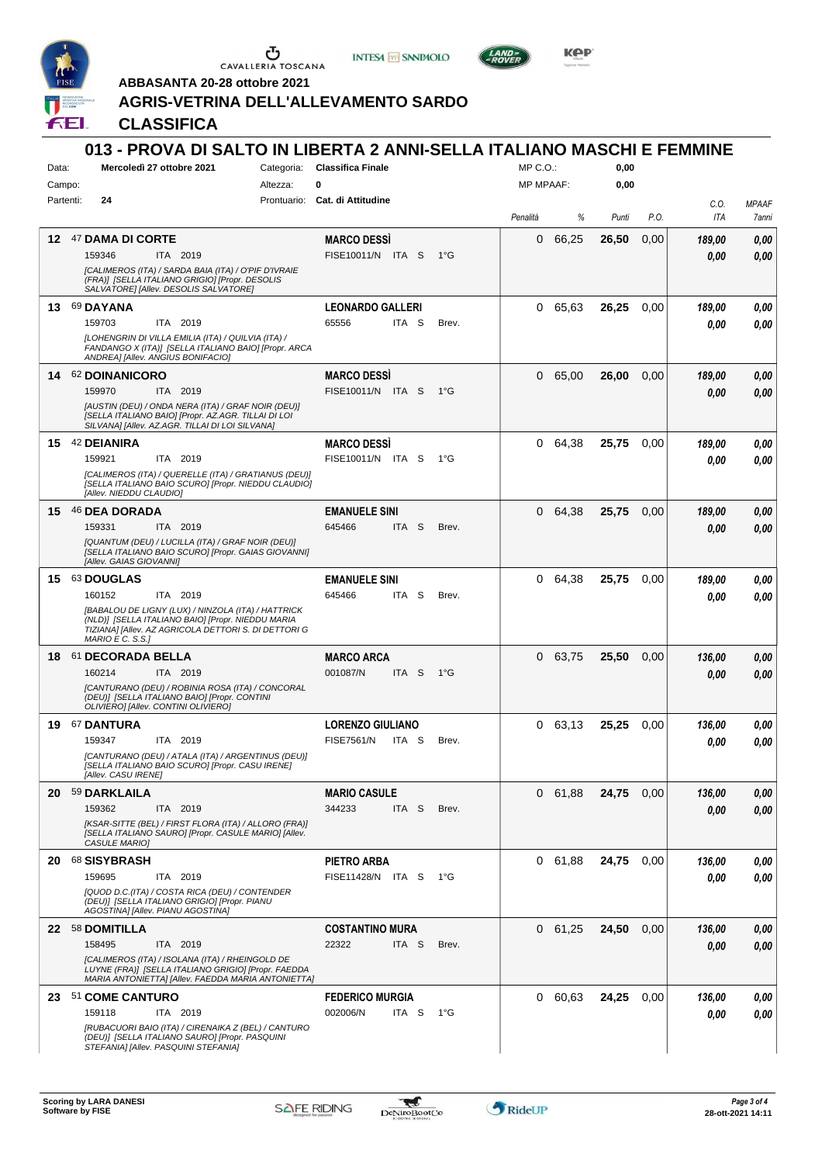

 $\begin{array}{c}\n\bullet \\
\bullet \\
\bullet \\
\bullet\n\end{array}$  CAVALLERIA TOSCANA





**Kep** 

**ABBASANTA 20-28 ottobre 2021**

## **AGRIS-VETRINA DELL'ALLEVAMENTO SARDO**

**CLASSIFICA**

| Data:     | 013 - PROVA DI SALTO IN LIBERTA 2 ANNI-SELLA ITALIANO MASCHI E FEMMINE<br>Mercoledì 27 ottobre 2021                                                                                                                           |          | Categoria: Classifica Finale                          |              | MP C.O.          |                | 0,00  |      |                    |                       |
|-----------|-------------------------------------------------------------------------------------------------------------------------------------------------------------------------------------------------------------------------------|----------|-------------------------------------------------------|--------------|------------------|----------------|-------|------|--------------------|-----------------------|
| Campo:    |                                                                                                                                                                                                                               | Altezza: | 0                                                     |              | <b>MP MPAAF:</b> |                | 0,00  |      |                    |                       |
| Partenti: | 24                                                                                                                                                                                                                            |          | Prontuario: Cat. di Attitudine                        |              | Penalità         | %              | Punti | P.O. | C.O.<br><b>ITA</b> | <b>MPAAF</b><br>7anni |
|           | 12 47 DAMA DI CORTE<br>159346<br>ITA 2019<br>[CALIMEROS (ITA) / SARDA BAIA (ITA) / O'PIF D'IVRAIE<br>(FRA)] [SELLA ITALIANO GRIGIO] [Propr. DESOLIS<br>SALVATORE] [Allev. DESOLIS SALVATORE]                                  |          | <b>MARCO DESSI</b><br>FISE10011/N ITA S               | $1^{\circ}G$ | 0                | 66,25          | 26,50 | 0,00 | 189,00<br>0.00     | 0,00<br>0.00          |
|           | 13 69 DAYANA<br>159703<br>ITA 2019<br>[LOHENGRIN DI VILLA EMILIA (ITA) / QUILVIA (ITA) /<br>FANDANGO X (ITA)] [SELLA ITALIANO BAIO] [Propr. ARCA<br>ANDREA] [Allev. ANGIUS BONIFACIO]                                         |          | <b>LEONARDO GALLERI</b><br>65556<br>ITA S             | Brev.        | 0                | 65,63          | 26,25 | 0.00 | 189,00<br>0.00     | 0,00<br>0.00          |
|           | 14 62 DOINANICORO<br>159970<br><b>ITA 2019</b><br>[AUSTIN (DEU) / ONDA NERA (ITA) / GRAF NOIR (DEU)]<br>[SELLA ITALIANO BAIO] [Propr. AZ.AGR. TILLAI DI LOI<br>SILVANA] [Allev. AZ.AGR. TILLAI DI LOI SILVANA]                |          | <b>MARCO DESSI</b><br>FISE10011/N ITA S               | $1^{\circ}G$ | 0                | 65,00          | 26,00 | 0,00 | 189,00<br>0.00     | 0,00<br>0.00          |
|           | 15 42 DEIANIRA<br>159921<br>ITA 2019<br>[CALIMEROS (ITA) / QUERELLE (ITA) / GRATIANUS (DEU)]<br>[SELLA ITALIANO BAIO SCURO] [Propr. NIEDDU CLAUDIO]<br>[Allev. NIEDDU CLAUDIO]                                                |          | <b>MARCO DESSI</b><br>FISE10011/N ITA S               | $1^{\circ}G$ | 0                | 64,38          | 25.75 | 0,00 | 189,00<br>0.00     | 0,00<br>0.00          |
|           | 15 46 DEA DORADA<br>159331<br>ITA 2019<br>[QUANTUM (DEU) / LUCILLA (ITA) / GRAF NOIR (DEU)]<br>[SELLA ITALIANO BAIO SCURO] [Propr. GAIAS GIOVANNI]<br>[Allev. GAIAS GIOVANNI]                                                 |          | <b>EMANUELE SINI</b><br>645466<br>ITA <sub>S</sub>    | Brev.        | 0                | 64,38          | 25,75 | 0.00 | 189,00<br>0.00     | 0,00<br>0.00          |
|           | 15 63 DOUGLAS<br>160152<br>ITA 2019<br>[BABALOU DE LIGNY (LUX) / NINZOLA (ITA) / HATTRICK<br>(NLD)] [SELLA ITALIANO BAIO] [Propr. NIEDDU MARIA<br>TIZIANA] [Allev. AZ AGRICOLA DETTORI S. DI DETTORI G<br>$MARIO E C. S.S.$ ] |          | <b>EMANUELE SINI</b><br>645466<br>ITA S               | Brev.        | 0                | 64,38          | 25,75 | 0.00 | 189,00<br>0.00     | 0,00<br>0.00          |
|           | 18 61 DECORADA BELLA<br>160214<br>ITA 2019<br>[CANTURANO (DEU) / ROBINIA ROSA (ITA) / CONCORAL<br>(DEU)] [SELLA ITALIANO BAIO] [Propr. CONTINI<br>OLIVIERO] [Allev. CONTINI OLIVIERO]                                         |          | <b>MARCO ARCA</b><br>001087/N<br>ITA S                | $1^{\circ}G$ | 0                | 63,75          | 25,50 | 0,00 | 136,00<br>0.00     | 0,00<br>0.00          |
|           | 19 67 DANTURA<br>159347<br>ITA 2019<br>[CANTURANO (DEU) / ATALA (ITA) / ARGENTINUS (DEU)]<br>[SELLA ITALIANO BAIO SCURO] [Propr. CASU IRENE]<br>[Allev. CASU IRENE]                                                           |          | <b>LORENZO GIULIANO</b><br><b>FISE7561/N</b><br>ITA S | Brev.        | 0                | 63,13          | 25,25 | 0,00 | 136,00<br>0.00     | 0,00<br>0.00          |
|           | 20 59 DARKLAILA<br>159362<br>ITA 2019<br>[KSAR-SITTE (BEL) / FIRST FLORA (ITA) / ALLORO (FRA)]<br>[SELLA ITALIANO SAURO] [Propr. CASULE MARIO] [Allev.<br>CASULE MARIO]                                                       |          | <b>MARIO CASULE</b><br>344233<br>ITA <sub>S</sub>     | Brev.        | 0                | 61,88          | 24,75 | 0.00 | 136,00<br>0,00     | 0,00<br>0,00          |
|           | 20 68 SISYBRASH<br>ITA 2019<br>159695<br>[QUOD D.C.(ITA) / COSTA RICA (DEU) / CONTENDER<br>(DEU)] [SELLA ITALIANO GRIGIO] [Propr. PIANU<br>AGOSTINA] [Allev. PIANU AGOSTINA]                                                  |          | PIETRO ARBA<br>FISE11428/N ITA S                      | 1°G          |                  | 0 61,88        | 24,75 | 0.00 | 136,00<br>0,00     | 0,00<br>0,00          |
|           | 22 58 DOMITILLA<br>158495<br>ITA 2019<br>[CALIMEROS (ITA) / ISOLANA (ITA) / RHEINGOLD DE<br>LUYNE (FRA)] [SELLA ITALIANO GRIGIO] [Propr. FAEDDA<br>MARIA ANTONIETTA] [Allev. FAEDDA MARIA ANTONIETTA]                         |          | <b>COSTANTINO MURA</b><br>22322<br>ITA S              | Brev.        |                  | $0\quad 61,25$ | 24,50 | 0,00 | 136,00<br>0,00     | 0,00<br>0,00          |
|           | 23 51 COME CANTURO<br>159118<br>ITA 2019<br>[RUBACUORI BAIO (ITA) / CIRENAIKA Z (BEL) / CANTURO<br>(DEU)] [SELLA ITALIANO SAURO] [Propr. PASQUINI<br>STEFANIA] [Allev. PASQUINI STEFANIA]                                     |          | <b>FEDERICO MURGIA</b><br>002006/N<br>ITA S           | 1°G          |                  | 0 60,63        | 24,25 | 0.00 | 136,00<br>0,00     | 0,00<br>0,00          |